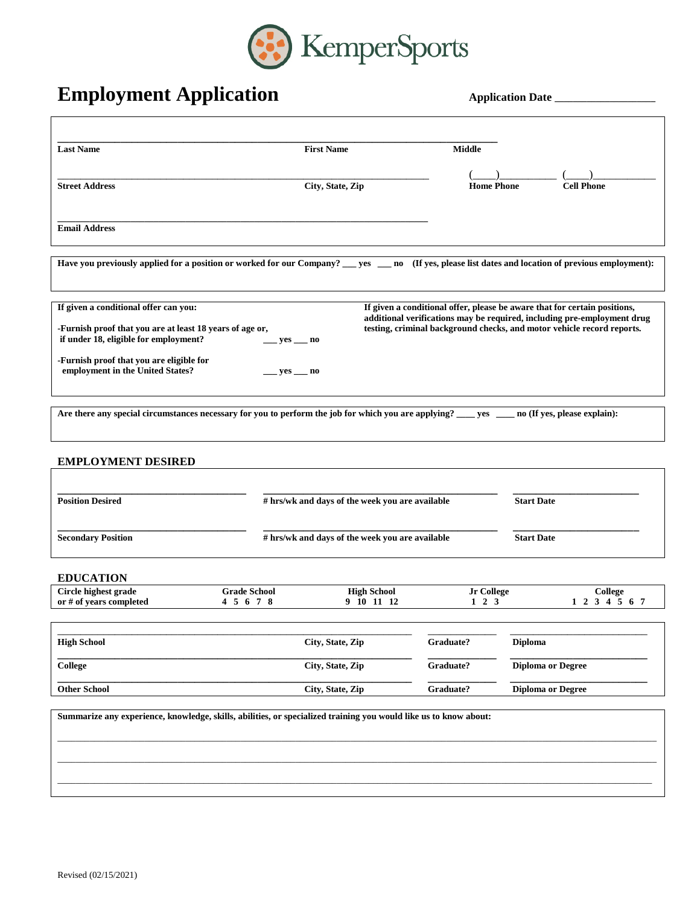

## **Employment Application**

| <b>Application Date</b> |
|-------------------------|
|-------------------------|

| <b>Last Name</b>                                                                                                                                                                                                           |                                                                      | <b>First Name</b>                | <b>Middle</b>                                                                                                                                       |                          |                                                                         |  |  |  |  |
|----------------------------------------------------------------------------------------------------------------------------------------------------------------------------------------------------------------------------|----------------------------------------------------------------------|----------------------------------|-----------------------------------------------------------------------------------------------------------------------------------------------------|--------------------------|-------------------------------------------------------------------------|--|--|--|--|
| <b>Street Address</b>                                                                                                                                                                                                      |                                                                      | City, State, Zip                 | <b>Home Phone</b>                                                                                                                                   |                          | <b>Cell Phone</b>                                                       |  |  |  |  |
| <b>Email Address</b>                                                                                                                                                                                                       |                                                                      |                                  |                                                                                                                                                     |                          |                                                                         |  |  |  |  |
| Have you previously applied for a position or worked for our Company? __ yes __ no (If yes, please list dates and location of previous employment):                                                                        |                                                                      |                                  |                                                                                                                                                     |                          |                                                                         |  |  |  |  |
| If given a conditional offer can you:<br>-Furnish proof that you are at least 18 years of age or,<br>if under 18, eligible for employment?<br>-Furnish proof that you are eligible for<br>employment in the United States? | $__ yes__ no$<br>__ yes ___ no                                       |                                  | If given a conditional offer, please be aware that for certain positions,<br>testing, criminal background checks, and motor vehicle record reports. |                          | additional verifications may be required, including pre-employment drug |  |  |  |  |
| Are there any special circumstances necessary for you to perform the job for which you are applying? ___ yes ___ no (If yes, please explain):                                                                              |                                                                      |                                  |                                                                                                                                                     |                          |                                                                         |  |  |  |  |
| <b>EMPLOYMENT DESIRED</b><br><b>Position Desired</b>                                                                                                                                                                       |                                                                      |                                  |                                                                                                                                                     |                          |                                                                         |  |  |  |  |
|                                                                                                                                                                                                                            | # hrs/wk and days of the week you are available<br><b>Start Date</b> |                                  |                                                                                                                                                     |                          |                                                                         |  |  |  |  |
| <b>Secondary Position</b>                                                                                                                                                                                                  | # hrs/wk and days of the week you are available                      |                                  |                                                                                                                                                     |                          | <b>Start Date</b>                                                       |  |  |  |  |
| <b>EDUCATION</b>                                                                                                                                                                                                           |                                                                      |                                  |                                                                                                                                                     |                          |                                                                         |  |  |  |  |
| Circle highest grade<br>or # of years completed                                                                                                                                                                            | <b>Grade School</b><br>4 5 6 7 8                                     | <b>High School</b><br>9 10 11 12 | Jr College<br>$1\quad 2\quad 3$                                                                                                                     |                          | College<br>1 2 3 4 5 6 7                                                |  |  |  |  |
| <b>High School</b>                                                                                                                                                                                                         |                                                                      | City, State, Zip                 | Graduate?                                                                                                                                           | Diploma                  |                                                                         |  |  |  |  |
| <b>College</b>                                                                                                                                                                                                             | City, State, Zip                                                     |                                  | Graduate?                                                                                                                                           | <b>Diploma or Degree</b> |                                                                         |  |  |  |  |
| <b>Other School</b>                                                                                                                                                                                                        | City, State, Zip                                                     |                                  | Graduate?                                                                                                                                           | <b>Diploma or Degree</b> |                                                                         |  |  |  |  |
| Summarize any experience, knowledge, skills, abilities, or specialized training you would like us to know about:                                                                                                           |                                                                      |                                  |                                                                                                                                                     |                          |                                                                         |  |  |  |  |
|                                                                                                                                                                                                                            |                                                                      |                                  |                                                                                                                                                     |                          |                                                                         |  |  |  |  |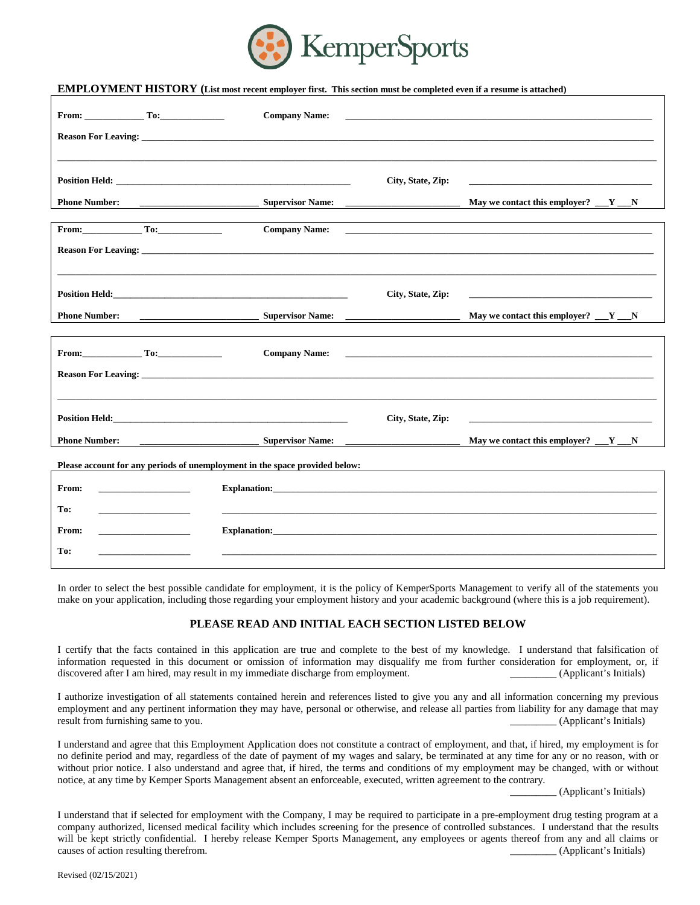

## **EMPLOYMENT HISTORY (List most recent employer first. This section must be completed even if a resume is attached)**

| From: $\qquad \qquad \text{To:}$                                                                                                                                                                                                                                                         |                                                                                                                                                                                                                                    | <b>Company Name:</b>             |                                                                                                                         | <u> 1989 - Johann Stoff, amerikansk politiker (d. 1989)</u>                                                                                                                                                                          |  |  |  |  |  |
|------------------------------------------------------------------------------------------------------------------------------------------------------------------------------------------------------------------------------------------------------------------------------------------|------------------------------------------------------------------------------------------------------------------------------------------------------------------------------------------------------------------------------------|----------------------------------|-------------------------------------------------------------------------------------------------------------------------|--------------------------------------------------------------------------------------------------------------------------------------------------------------------------------------------------------------------------------------|--|--|--|--|--|
|                                                                                                                                                                                                                                                                                          |                                                                                                                                                                                                                                    |                                  |                                                                                                                         |                                                                                                                                                                                                                                      |  |  |  |  |  |
|                                                                                                                                                                                                                                                                                          |                                                                                                                                                                                                                                    |                                  |                                                                                                                         |                                                                                                                                                                                                                                      |  |  |  |  |  |
|                                                                                                                                                                                                                                                                                          |                                                                                                                                                                                                                                    |                                  | City, State, Zip:                                                                                                       |                                                                                                                                                                                                                                      |  |  |  |  |  |
| <b>Phone Number:</b>                                                                                                                                                                                                                                                                     |                                                                                                                                                                                                                                    | <b>Supervisor Name:</b>          | the control of the control of the control of the control of                                                             | May we contact this employer? $\underline{\hspace{1cm}} Y \underline{\hspace{1cm}} N$                                                                                                                                                |  |  |  |  |  |
| From: To:                                                                                                                                                                                                                                                                                |                                                                                                                                                                                                                                    | <b>Company Name:</b>             |                                                                                                                         |                                                                                                                                                                                                                                      |  |  |  |  |  |
|                                                                                                                                                                                                                                                                                          |                                                                                                                                                                                                                                    |                                  |                                                                                                                         |                                                                                                                                                                                                                                      |  |  |  |  |  |
|                                                                                                                                                                                                                                                                                          |                                                                                                                                                                                                                                    |                                  |                                                                                                                         |                                                                                                                                                                                                                                      |  |  |  |  |  |
|                                                                                                                                                                                                                                                                                          |                                                                                                                                                                                                                                    |                                  | City, State, Zip:                                                                                                       | <u>state and the state of the state of the state of the state of the state of the state of the state of the state of the state of the state of the state of the state of the state of the state of the state of the state of the</u> |  |  |  |  |  |
| <b>Phone Number:</b>                                                                                                                                                                                                                                                                     |                                                                                                                                                                                                                                    | <b>Supervisor Name:</b>          | <u> The Communication of the Communication of the Communication of the Communication of the Communication of the Co</u> | May we contact this employer? $Y_{\text{max}}$                                                                                                                                                                                       |  |  |  |  |  |
| From: $\qquad \qquad$ To:<br><b>Company Name:</b><br><b>Reason For Leaving:</b> No. 2016. The second state of the second state of the second state of the second state of the second state of the second state of the second state of the second state of the second state of the second |                                                                                                                                                                                                                                    |                                  |                                                                                                                         |                                                                                                                                                                                                                                      |  |  |  |  |  |
|                                                                                                                                                                                                                                                                                          | <b>Position Held:</b> The contract of the contract of the contract of the contract of the contract of the contract of the contract of the contract of the contract of the contract of the contract of the contract of the contract |                                  | City, State, Zip:                                                                                                       | <u>and the state of the state of the state of the state of the state of the state of the state of the state of the state of the state of the state of the state of the state of the state of the state of the state of the state</u> |  |  |  |  |  |
| <b>Phone Number:</b>                                                                                                                                                                                                                                                                     |                                                                                                                                                                                                                                    |                                  |                                                                                                                         | May we contact this employer? $\underline{\hspace{1cm}} Y \underline{\hspace{1cm}} N$                                                                                                                                                |  |  |  |  |  |
| Please account for any periods of unemployment in the space provided below:                                                                                                                                                                                                              |                                                                                                                                                                                                                                    |                                  |                                                                                                                         |                                                                                                                                                                                                                                      |  |  |  |  |  |
| From:                                                                                                                                                                                                                                                                                    |                                                                                                                                                                                                                                    |                                  |                                                                                                                         | <b>Explanation:</b> Explanation:                                                                                                                                                                                                     |  |  |  |  |  |
| To:                                                                                                                                                                                                                                                                                      | the control of the control of the control of                                                                                                                                                                                       |                                  |                                                                                                                         |                                                                                                                                                                                                                                      |  |  |  |  |  |
| From:                                                                                                                                                                                                                                                                                    |                                                                                                                                                                                                                                    | <b>Explanation:</b> Explanation: |                                                                                                                         |                                                                                                                                                                                                                                      |  |  |  |  |  |
| To:                                                                                                                                                                                                                                                                                      |                                                                                                                                                                                                                                    |                                  |                                                                                                                         |                                                                                                                                                                                                                                      |  |  |  |  |  |

In order to select the best possible candidate for employment, it is the policy of KemperSports Management to verify all of the statements you make on your application, including those regarding your employment history and your academic background (where this is a job requirement).

## **PLEASE READ AND INITIAL EACH SECTION LISTED BELOW**

I certify that the facts contained in this application are true and complete to the best of my knowledge. I understand that falsification of information requested in this document or omission of information may disqualify me from further consideration for employment, or, if discovered after I am hired, may result in my immediate discharge from employment. \_\_\_\_\_\_\_\_\_ (Applicant's Initials)

I authorize investigation of all statements contained herein and references listed to give you any and all information concerning my previous employment and any pertinent information they may have, personal or otherwise, and release all parties from liability for any damage that may result from furnishing same to you. \_\_\_\_\_\_\_\_\_ (Applicant's Initials)

I understand and agree that this Employment Application does not constitute a contract of employment, and that, if hired, my employment is for no definite period and may, regardless of the date of payment of my wages and salary, be terminated at any time for any or no reason, with or without prior notice. I also understand and agree that, if hired, the terms and conditions of my employment may be changed, with or without notice, at any time by Kemper Sports Management absent an enforceable, executed, written agreement to the contrary.

\_\_\_\_\_\_\_\_\_ (Applicant's Initials)

I understand that if selected for employment with the Company, I may be required to participate in a pre-employment drug testing program at a company authorized, licensed medical facility which includes screening for the presence of controlled substances. I understand that the results will be kept strictly confidential. I hereby release Kemper Sports Management, any employees or agents thereof from any and all claims or causes of action resulting therefrom. (Applicant's Initials) and the causes of action resulting therefrom.